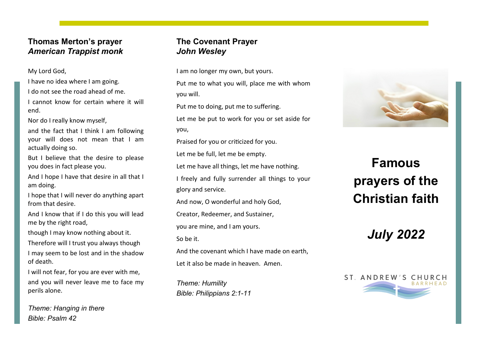### **Thomas Merton's prayer** *American Trappist monk*

#### My Lord God,

I have no idea where I am going.

I do not see the road ahead of me.

I cannot know for certain where it will end.

Nor do I really know myself,

and the fact that I think I am following your will does not mean that I am actually doing so.

But I believe that the desire to please you does in fact please you.

And I hope I have that desire in all that I am doing.

I hope that I will never do anything apart from that desire.

And I know that if I do this you will lead me by the right road,

though I may know nothing about it.

Therefore will I trust you always though I may seem to be lost and in the shadow of death.

I will not fear, for you are ever with me, and you will never leave me to face my perils alone.

*Theme: Hanging in there Bible: Psalm 42*

## **The Covenant Prayer** *John Wesley*

I am no longer my own, but yours.

Put me to what you will, place me with whom you will.

Put me to doing, put me to suffering.

Let me be put to work for you or set aside for you,

Praised for you or criticized for you.

Let me be full, let me be empty.

Let me have all things, let me have nothing.

I freely and fully surrender all things to your glory and service.

And now, O wonderful and holy God,

Creator, Redeemer, and Sustainer,

you are mine, and I am yours.

So be it.

And the covenant which I have made on earth,

Let it also be made in heaven. Amen.

*Theme: Humility Bible: Philippians 2:1-11* 



# **Famous prayers of the Christian faith**

*July 2022*